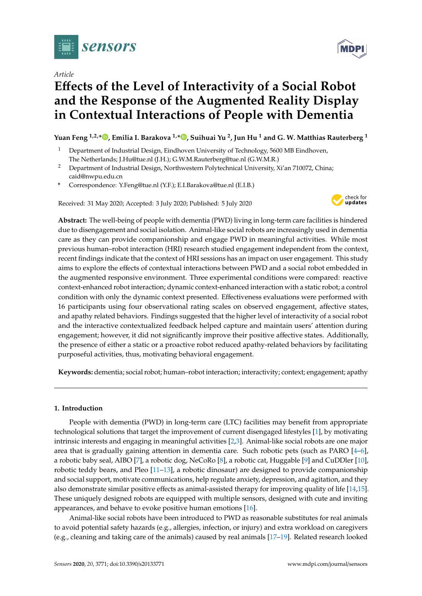

*Article*

# **E**ff**ects of the Level of Interactivity of a Social Robot and the Response of the Augmented Reality Display in Contextual Interactions of People with Dementia**

**Yuan Feng 1,2,\* [,](https://orcid.org/0000-0001-9968-4817) Emilia I. Barakova 1,\* [,](https://orcid.org/0000-0001-5688-4878) Suihuai Yu <sup>2</sup> , Jun Hu <sup>1</sup> and G. W. Matthias Rauterberg <sup>1</sup>**

- <sup>1</sup> Department of Industrial Design, Eindhoven University of Technology, 5600 MB Eindhoven, The Netherlands; J.Hu@tue.nl (J.H.); G.W.M.Rauterberg@tue.nl (G.W.M.R.)
- <sup>2</sup> Department of Industrial Design, Northwestern Polytechnical University, Xi'an 710072, China; caid@nwpu.edu.cn
- **\*** Correspondence: Y.Feng@tue.nl (Y.F.); E.I.Barakova@tue.nl (E.I.B.)

Received: 31 May 2020; Accepted: 3 July 2020; Published: 5 July 2020



**Abstract:** The well-being of people with dementia (PWD) living in long-term care facilities is hindered due to disengagement and social isolation. Animal-like social robots are increasingly used in dementia care as they can provide companionship and engage PWD in meaningful activities. While most previous human–robot interaction (HRI) research studied engagement independent from the context, recent findings indicate that the context of HRI sessions has an impact on user engagement. This study aims to explore the effects of contextual interactions between PWD and a social robot embedded in the augmented responsive environment. Three experimental conditions were compared: reactive context-enhanced robot interaction; dynamic context-enhanced interaction with a static robot; a control condition with only the dynamic context presented. Effectiveness evaluations were performed with 16 participants using four observational rating scales on observed engagement, affective states, and apathy related behaviors. Findings suggested that the higher level of interactivity of a social robot and the interactive contextualized feedback helped capture and maintain users' attention during engagement; however, it did not significantly improve their positive affective states. Additionally, the presence of either a static or a proactive robot reduced apathy-related behaviors by facilitating purposeful activities, thus, motivating behavioral engagement.

**Keywords:** dementia; social robot; human–robot interaction; interactivity; context; engagement; apathy

# **1. Introduction**

People with dementia (PWD) in long-term care (LTC) facilities may benefit from appropriate technological solutions that target the improvement of current disengaged lifestyles [\[1\]](#page-9-0), by motivating intrinsic interests and engaging in meaningful activities [\[2,](#page-9-1)[3\]](#page-9-2). Animal-like social robots are one major area that is gradually gaining attention in dementia care. Such robotic pets (such as PARO [\[4](#page-9-3)[–6\]](#page-9-4), a robotic baby seal, AIBO [\[7\]](#page-9-5), a robotic dog, NeCoRo [\[8\]](#page-9-6), a robotic cat, Huggable [\[9\]](#page-9-7) and CuDDler [\[10\]](#page-10-0), robotic teddy bears, and Pleo [\[11–](#page-10-1)[13\]](#page-10-2), a robotic dinosaur) are designed to provide companionship and social support, motivate communications, help regulate anxiety, depression, and agitation, and they also demonstrate similar positive effects as animal-assisted therapy for improving quality of life [\[14](#page-10-3)[,15\]](#page-10-4). These uniquely designed robots are equipped with multiple sensors, designed with cute and inviting appearances, and behave to evoke positive human emotions [\[16\]](#page-10-5).

Animal-like social robots have been introduced to PWD as reasonable substitutes for real animals to avoid potential safety hazards (e.g., allergies, infection, or injury) and extra workload on caregivers (e.g., cleaning and taking care of the animals) caused by real animals [\[17–](#page-10-6)[19\]](#page-10-7). Related research looked

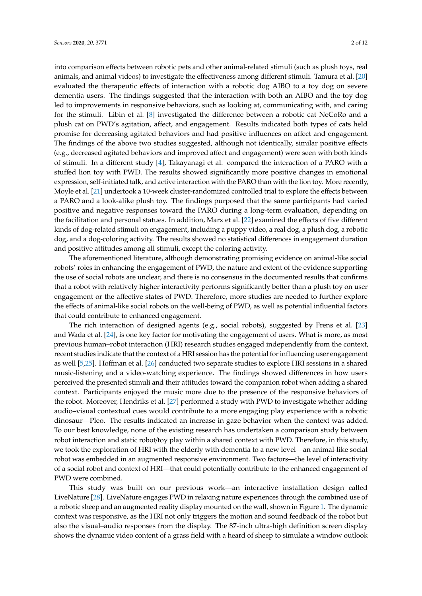into comparison effects between robotic pets and other animal-related stimuli (such as plush toys, real animals, and animal videos) to investigate the effectiveness among different stimuli. Tamura et al. [\[20\]](#page-10-8) evaluated the therapeutic effects of interaction with a robotic dog AIBO to a toy dog on severe dementia users. The findings suggested that the interaction with both an AIBO and the toy dog led to improvements in responsive behaviors, such as looking at, communicating with, and caring for the stimuli. Libin et al. [\[8\]](#page-9-6) investigated the difference between a robotic cat NeCoRo and a plush cat on PWD's agitation, affect, and engagement. Results indicated both types of cats held promise for decreasing agitated behaviors and had positive influences on affect and engagement. The findings of the above two studies suggested, although not identically, similar positive effects (e.g., decreased agitated behaviors and improved affect and engagement) were seen with both kinds of stimuli. In a different study [\[4\]](#page-9-3), Takayanagi et al. compared the interaction of a PARO with a stuffed lion toy with PWD. The results showed significantly more positive changes in emotional expression, self-initiated talk, and active interaction with the PARO than with the lion toy. More recently, Moyle et al. [\[21\]](#page-10-9) undertook a 10-week cluster-randomized controlled trial to explore the effects between a PARO and a look-alike plush toy. The findings purposed that the same participants had varied positive and negative responses toward the PARO during a long-term evaluation, depending on the facilitation and personal statues. In addition, Marx et al. [\[22\]](#page-10-10) examined the effects of five different kinds of dog-related stimuli on engagement, including a puppy video, a real dog, a plush dog, a robotic dog, and a dog-coloring activity. The results showed no statistical differences in engagement duration and positive attitudes among all stimuli, except the coloring activity.

The aforementioned literature, although demonstrating promising evidence on animal-like social robots' roles in enhancing the engagement of PWD, the nature and extent of the evidence supporting the use of social robots are unclear, and there is no consensus in the documented results that confirms that a robot with relatively higher interactivity performs significantly better than a plush toy on user engagement or the affective states of PWD. Therefore, more studies are needed to further explore the effects of animal-like social robots on the well-being of PWD, as well as potential influential factors that could contribute to enhanced engagement.

The rich interaction of designed agents (e.g., social robots), suggested by Frens et al. [\[23\]](#page-10-11) and Wada et al. [\[24\]](#page-10-12), is one key factor for motivating the engagement of users. What is more, as most previous human–robot interaction (HRI) research studies engaged independently from the context, recent studies indicate that the context of a HRI session has the potential for influencing user engagement as well [\[5](#page-9-8)[,25\]](#page-10-13). Hoffman et al. [\[26\]](#page-10-14) conducted two separate studies to explore HRI sessions in a shared music-listening and a video-watching experience. The findings showed differences in how users perceived the presented stimuli and their attitudes toward the companion robot when adding a shared context. Participants enjoyed the music more due to the presence of the responsive behaviors of the robot. Moreover, Hendriks et al. [\[27\]](#page-10-15) performed a study with PWD to investigate whether adding audio–visual contextual cues would contribute to a more engaging play experience with a robotic dinosaur—Pleo. The results indicated an increase in gaze behavior when the context was added. To our best knowledge, none of the existing research has undertaken a comparison study between robot interaction and static robot/toy play within a shared context with PWD. Therefore, in this study, we took the exploration of HRI with the elderly with dementia to a new level—an animal-like social robot was embedded in an augmented responsive environment. Two factors—the level of interactivity of a social robot and context of HRI—that could potentially contribute to the enhanced engagement of PWD were combined.

This study was built on our previous work—an interactive installation design called LiveNature [\[28\]](#page-10-16). LiveNature engages PWD in relaxing nature experiences through the combined use of a robotic sheep and an augmented reality display mounted on the wall, shown in Figure [1.](#page-2-0) The dynamic context was responsive, as the HRI not only triggers the motion and sound feedback of the robot but also the visual–audio responses from the display. The 87-inch ultra-high definition screen display shows the dynamic video content of a grass field with a heard of sheep to simulate a window outlook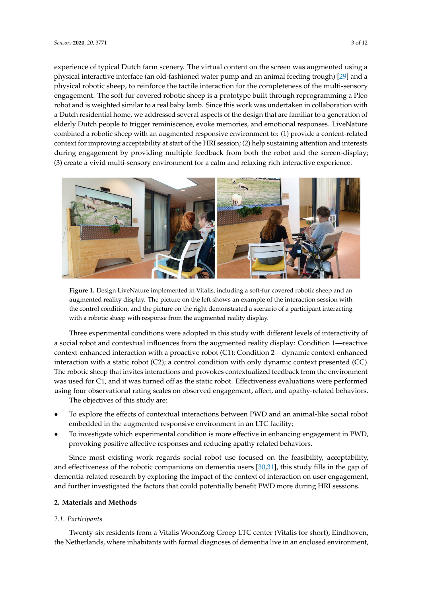experience of typical Dutch farm scenery. The virtual content on the screen was augmented using a experience of typical Dutch farm scenery. The virtual content on the screen was augmented using a physical interactive interface (an old-fashioned water pump and an animal feeding trough) [29] and a physical interactive interface (an old-fashioned water pump and an animal feeding trough) [[29\]](#page-11-0) and physical robotic sheep, to reinforce the tactile interaction for the completeness of the multi-sensory a physical robotic sheep, to reinforce the tactile interaction for the completeness of the multi-sensory engagement. The soft-fur covered robotic sheep is a prototype built through reprogramming a Pleo engagement. The soft-fur covered robotic sheep is a prototype built through reprogramming a Pleo robot and is weighted similar to a real baby lamb. Since this work was undertaken in collaboration with a Dutch residential home, we addressed several aspects of the design that are familiar to a generation of elderly Dutch people to trigger reminiscence, evoke memories, and emotional responses. LiveNature  $R_{\text{F}}$  combined a robotic sheep with an augmented responsive environment to: (1) provide a content-related provide a research context for improving acceptability at start of the HRI session; (2) help sustaining attention and interests during engagement by providing multiple feedback from both the robot and the screen-display;<br>(3) (3) create a vivid multi-sensory environment for a calm and relaxing rich interactive experience. rich interactive experience. sustaining attention and interests during the sustaining engagement by providing multiple feedback from both t

<span id="page-2-0"></span>

**Figure 1.** Design LiveNature implemented in Vitalis, including a soft-fur covered robotic sheep and **Figure 1.** Design LiveNature implemented in Vitalis, including a soft-fur covered robotic sheep and an augmented reality display. The picture on the left shows an example of the interaction session with the control condition, and the picture on the right demonstrated a scenario of a participant interacting the control condition, and the picture on the right demonstrated a scenario of a participant interacting with a robotic sheep with response from the augmented reality display. with a robotic sheep with response from the augmented reality display.

Three experimental conditions were adopted in this study with different levels of interactivity Three experimental conditions were adopted in this study with different levels of interactivity of a social robot and contextual influences from the augmented reality display: Condition 1—reactive context-enhanced interaction with a proactive robot (C1); Condition 2—dynamic context-enhanced context-enhanced interaction with a proactive robot (C1); Condition 2—dynamic context-enhanced interaction with a static robot (C2); a control condition with only dynamic context presented (CC). interaction with a static robot (C2); a control condition with only dynamic context presented (CC).  $T_{\rm tot}$  that is robotic steed  $(2\pi)$ , a context contextual from the provokes contextualized from the steedback from the steed from the steed from the steed from the steed from the steed from the steed from the steed fro The robotic sheep that invites interactions and provokes contextualized feedback from the environment  $C_1$ was used for C1, and it was turned off as the static robot. Effectiveness evaluations were performed using four observational rating scales on observed engagement, affect, and apathy-related behaviors.

The objectives of this study are: The objectives of this study are:

- To explore the effects of contextual interactions between PWD and an animal-like social robot To explore the effects of contextual interactions between PWD and an animal-like social robot embedded in the augmented responsive environment in an LTC facility; embedded in the augmented responsive environment in an LTC facility;
- To investigate which experimental condition is more effective in enhancing engagement in To investigate which experimental condition is more effective in enhancing engagement in PWD,  $P$  which put  $p$  and  $p$  is the positive affective responses and reducing apathy related behaviors. provoking positive affective responses and reducing apathy related behaviors.

Since most existing work regards social robot use focused on the feasibility, acceptability, and effectiveness of the robotic companions on dementia users [30,31], this study fills in the gap of dementia-related research by exploring the impact of the context of interaction on user engagement, and further investigated the factors that could potentially benefit PWD more during HRI sessions.

# **2. Materials and Methods**

**2. Materials and Methods** 

#### $T_{\text{ref}}$ *2.1. Participants*

Twenty-six residents from a Vitalis WoonZorg Groep LTC center (Vitalis for short), Eindhoven, the Netherlands, where inhabitants with formal diagnoses of dementia live in an enclosed environment,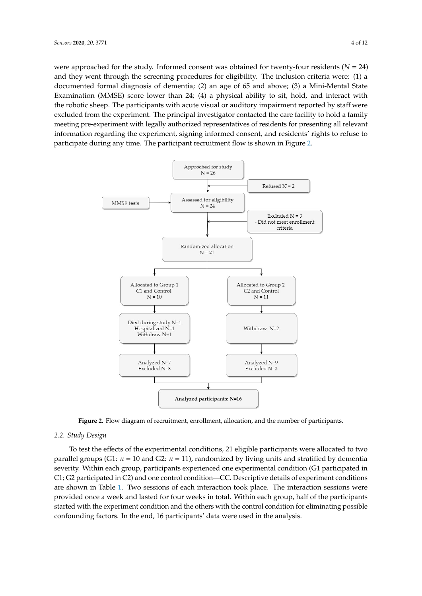were approached for the study. Informed consent was obtained for twenty-four residents  $(N = 24)$ and they went through the screening procedures for eligibility. The inclusion criteria were: (1) a<br>residents (*x*) and the screening procedures for eligibility. The inclusion criteria were: (1) a documented formal diagnosis of dementia; (2) an age of 65 and above; (3) a Mini-Mental State Examination (MMSE) score lower than  $24$ ; (4) a physical ability to sit, hold, and interact with  $\frac{1}{2}$ the robotic sheep. The participants with acute visual or auditory impairment reported by staff were<br>with the robotic sheep. excluded from the experiment. The principal investigator contacted the care facility to hold a family exclusively meeting pre-experiment with legally authorized representatives of residents for presenting all relevant in the<br>interval information regarding the experiment, signing informed consent, and residents' rights to refuse to information participate during any time. The participant recruitment flow is shown in Figure [2.](#page-3-0)

<span id="page-3-0"></span>

**Figure 2.** Flow diagram of recruitment, enrollment, allocation, and the number of participants. **Figure 2.** Flow diagram of recruitment, enrollment, allocation, and the number of participants.

# *2.2. Study Design 2.2. Study Design*

To test the effects of the experimental conditions, 21 eligible participants were allocated to two To test the effects of the experimental conditions, 21 eligible participants were allocated to two parallel groups (G1:  $n = 10$  and G2:  $n = 11$ ), randomized by living units and stratified by dementia severity. Within each group, participants experienced one experimental condition (G1 participated severity. Within each group, participants experienced one experimental condition (G1 participated in in C1; G2 participated in C2) and one control condition—CC. Descriptive details of experiment C1; G2 participated in C2) and one control condition—CC. Descriptive details of experiment conditions are sho[wn](#page-4-0) in Table 1. Two sessions of each interaction took place. The interaction sessions were provided once a week and lasted for four weeks in total. Within each group, half of the participants started with the experiment condition and the others with the control condition for eliminating possible confounding factors. In the end, 16 participants' data were used in the analysis.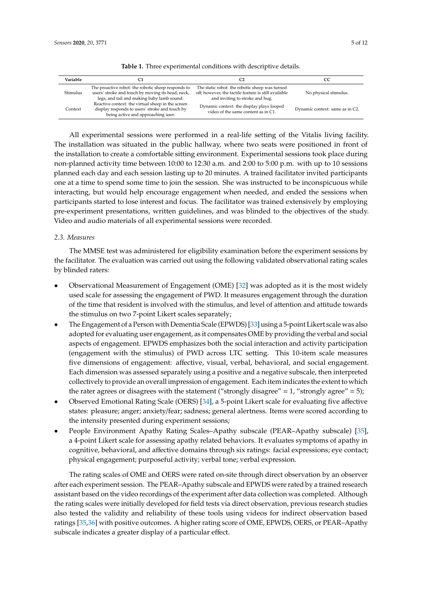<span id="page-4-0"></span>

| Variable |                                                                                                                                                       |                                                                                                                                           | CC                              |
|----------|-------------------------------------------------------------------------------------------------------------------------------------------------------|-------------------------------------------------------------------------------------------------------------------------------------------|---------------------------------|
| Stimulus | The proactive robot: the robotic sheep responds to<br>users' stroke and touch by moving its head, neck,<br>legs, and tail and making baby lamb sound. | The static robot: the robotic sheep was turned<br>off; however, the tactile feature is still available<br>and inviting to stroke and hug. | No physical stimulus.           |
| Context  | Reactive context: the virtual sheep in the screen<br>display responds to users' stroke and touch by<br>being active and approaching user.             | Dynamic context: the display plays looped<br>video of the same content as in C1.                                                          | Dynamic context: same as in C2. |

**Table 1.** Three experimental conditions with descriptive details.

All experimental sessions were performed in a real-life setting of the Vitalis living facility. The installation was situated in the public hallway, where two seats were positioned in front of the installation to create a comfortable sitting environment. Experimental sessions took place during non-planned activity time between 10:00 to 12:30 a.m. and 2:00 to 5:00 p.m. with up to 10 sessions planned each day and each session lasting up to 20 minutes. A trained facilitator invited participants one at a time to spend some time to join the session. She was instructed to be inconspicuous while interacting, but would help encourage engagement when needed, and ended the sessions when participants started to lose interest and focus. The facilitator was trained extensively by employing pre-experiment presentations, written guidelines, and was blinded to the objectives of the study. Video and audio materials of all experimental sessions were recorded.

### *2.3. Measures*

The MMSE test was administered for eligibility examination before the experiment sessions by the facilitator. The evaluation was carried out using the following validated observational rating scales by blinded raters:

- Observational Measurement of Engagement (OME) [\[32\]](#page-11-3) was adopted as it is the most widely used scale for assessing the engagement of PWD. It measures engagement through the duration of the time that resident is involved with the stimulus, and level of attention and attitude towards the stimulus on two 7-point Likert scales separately;
- The Engagement of a Person with Dementia Scale (EPWDS) [\[33\]](#page-11-4) using a 5-point Likert scale was also adopted for evaluating user engagement, as it compensates OME by providing the verbal and social aspects of engagement. EPWDS emphasizes both the social interaction and activity participation (engagement with the stimulus) of PWD across LTC setting. This 10-item scale measures five dimensions of engagement: affective, visual, verbal, behavioral, and social engagement. Each dimension was assessed separately using a positive and a negative subscale, then interpreted collectively to provide an overall impression of engagement. Each item indicates the extent to which the rater agrees or disagrees with the statement ("strongly disagree" =  $1$ , "strongly agree" =  $5$ );
- Observed Emotional Rating Scale (OERS) [\[34\]](#page-11-5), a 5-point Likert scale for evaluating five affective states: pleasure; anger; anxiety/fear; sadness; general alertness. Items were scored according to the intensity presented during experiment sessions;
- People Environment Apathy Rating Scales–Apathy subscale (PEAR–Apathy subscale) [\[35\]](#page-11-6), a 4-point Likert scale for assessing apathy related behaviors. It evaluates symptoms of apathy in cognitive, behavioral, and affective domains through six ratings: facial expressions; eye contact; physical engagement; purposeful activity; verbal tone; verbal expression.

The rating scales of OME and OERS were rated on-site through direct observation by an observer after each experiment session. The PEAR–Apathy subscale and EPWDS were rated by a trained research assistant based on the video recordings of the experiment after data collection was completed. Although the rating scales were initially developed for field tests via direct observation, previous research studies also tested the validity and reliability of these tools using videos for indirect observation based ratings [\[35](#page-11-6)[,36\]](#page-11-7) with positive outcomes. A higher rating score of OME, EPWDS, OERS, or PEAR–Apathy subscale indicates a greater display of a particular effect.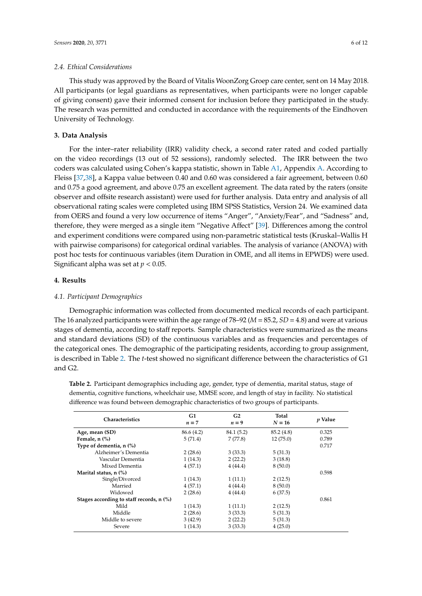#### *2.4. Ethical Considerations*

This study was approved by the Board of Vitalis WoonZorg Groep care center, sent on 14 May 2018. All participants (or legal guardians as representatives, when participants were no longer capable of giving consent) gave their informed consent for inclusion before they participated in the study. The research was permitted and conducted in accordance with the requirements of the Eindhoven University of Technology.

# **3. Data Analysis**

For the inter–rater reliability (IRR) validity check, a second rater rated and coded partially on the video recordings (13 out of 52 sessions), randomly selected. The IRR between the two coders was calculated using Cohen's kappa statistic, shown in Table [A1,](#page-8-0) Appendix [A.](#page-8-1) According to Fleiss [\[37,](#page-11-8)[38\]](#page-11-9), a Kappa value between 0.40 and 0.60 was considered a fair agreement, between 0.60 and 0.75 a good agreement, and above 0.75 an excellent agreement. The data rated by the raters (onsite observer and offsite research assistant) were used for further analysis. Data entry and analysis of all observational rating scales were completed using IBM SPSS Statistics, Version 24. We examined data from OERS and found a very low occurrence of items "Anger", "Anxiety/Fear", and "Sadness" and, therefore, they were merged as a single item "Negative Affect" [\[39\]](#page-11-10). Differences among the control and experiment conditions were compared using non-parametric statistical tests (Kruskal–Wallis H with pairwise comparisons) for categorical ordinal variables. The analysis of variance (ANOVA) with post hoc tests for continuous variables (item Duration in OME, and all items in EPWDS) were used. Significant alpha was set at *p* < 0.05.

# **4. Results**

### *4.1. Participant Demographics*

Demographic information was collected from documented medical records of each participant. The 16 analyzed participants were within the age range of 78–92 (*M* = 85.2, *SD* = 4.8) and were at various stages of dementia, according to staff reports. Sample characteristics were summarized as the means and standard deviations (SD) of the continuous variables and as frequencies and percentages of the categorical ones. The demographic of the participating residents, according to group assignment, is described in Table [2.](#page-6-0) The *t*-test showed no significant difference between the characteristics of G1 and G2.

**Table 2.** Participant demographics including age, gender, type of dementia, marital status, stage of dementia, cognitive functions, wheelchair use, MMSE score, and length of stay in facility. No statistical difference was found between demographic characteristics of two groups of participants.

| Characteristics                          | G1<br>G2<br>$n=7$<br>$n = 9$ |            | Total<br>$N = 16$ | p Value |  |
|------------------------------------------|------------------------------|------------|-------------------|---------|--|
| Age, mean (SD)                           | 86.6 (4.2)                   | 84.1 (5.2) | 85.2 (4.8)        | 0.325   |  |
| Female, $n$ $%$ )                        | 5(71.4)                      | 7(77.8)    | 12(75.0)          | 0.789   |  |
| Type of dementia, n (%)                  |                              |            |                   | 0.717   |  |
| Alzheimer's Dementia                     | 2(28.6)                      | 3(33.3)    | 5(31.3)           |         |  |
| Vascular Dementia                        | 1(14.3)                      | 2(22.2)    | 3(18.8)           |         |  |
| Mixed Dementia                           | 4(57.1)                      | 4(44.4)    | 8(50.0)           |         |  |
| Marital status, n (%)                    |                              |            |                   | 0.598   |  |
| Single/Divorced                          | 1(14.3)                      | 1(11.1)    | 2(12.5)           |         |  |
| Married                                  | 4(57.1)                      | 4(44.4)    | 8(50.0)           |         |  |
| Widowed                                  | 2(28.6)                      | 4(44.4)    | 6(37.5)           |         |  |
| Stages according to staff records, n (%) |                              |            |                   | 0.861   |  |
| Mild                                     | 1(14.3)                      | 1(11.1)    | 2(12.5)           |         |  |
| Middle                                   | 2(28.6)                      | 3(33.3)    | 5(31.3)           |         |  |
| Middle to severe                         | 3(42.9)                      | 2(22.2)    | 5(31.3)           |         |  |
| Severe                                   | 1(14.3)                      | 3(33.3)    | 4(25.0)           |         |  |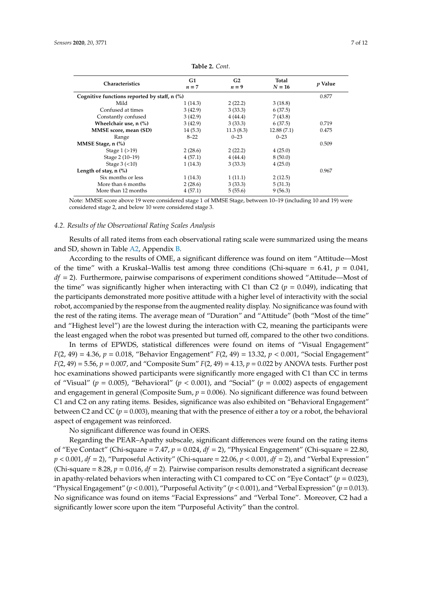<span id="page-6-0"></span>

| Characteristics                              | G1<br>$n=7$ | G <sub>2</sub><br>$n = 9$ | Total<br>$N = 16$ | <i>v</i> Value |  |
|----------------------------------------------|-------------|---------------------------|-------------------|----------------|--|
|                                              |             |                           |                   |                |  |
| Cognitive functions reported by staff, n (%) |             |                           |                   |                |  |
| Mild                                         | 1(14.3)     | 2(22.2)                   | 3(18.8)           |                |  |
| Confused at times                            | 3(42.9)     | 3(33.3)                   | 6(37.5)           |                |  |
| Constantly confused                          | 3(42.9)     | 4(44.4)                   | 7(43.8)           |                |  |
| Wheelchair use, n (%)                        | 3(42.9)     | 3(33.3)                   | 6(37.5)           | 0.719          |  |
| MMSE score, mean (SD)                        | 14(5.3)     | 11.3(8.3)                 | 12.88(7.1)        | 0.475          |  |
| Range                                        | $8 - 22$    | $0 - 23$                  | $0 - 23$          |                |  |
| MMSE Stage, n (%)                            |             |                           |                   | 0.509          |  |
| Stage $1(>19)$                               | 2(28.6)     | 2(22.2)                   | 4(25.0)           |                |  |
| Stage 2 (10-19)                              | 4(57.1)     | 4(44.4)                   | 8(50.0)           |                |  |
| Stage $3$ (<10)                              | 1(14.3)     | 3(33.3)                   | 4(25.0)           |                |  |
| Length of stay, $n$ $\left(\% \right)$       |             |                           |                   | 0.967          |  |
| Six months or less                           | 1(14.3)     | 1(11.1)                   | 2(12.5)           |                |  |
| More than 6 months                           | 2(28.6)     | 3(33.3)                   | 5(31.3)           |                |  |
| More than 12 months                          | 4(57.1)     | 5(55.6)                   | 9(56.3)           |                |  |
|                                              |             |                           |                   |                |  |

**Table 2.** *Cont.*

Note: MMSE score above 19 were considered stage 1 of MMSE Stage, between 10–19 (including 10 and 19) were considered stage 2, and below 10 were considered stage 3.

#### *4.2. Results of the Observational Rating Scales Analysis*

Results of all rated items from each observational rating scale were summarized using the means and SD, shown in Table [A2,](#page-9-9) Appendix [B.](#page-9-10)

According to the results of OME, a significant difference was found on item "Attitude—Most of the time" with a Kruskal–Wallis test among three conditions (Chi-square = 6.41,  $p = 0.041$ , *df* = 2). Furthermore, pairwise comparisons of experiment conditions showed "Attitude—Most of the time" was significantly higher when interacting with C1 than C2 ( $p = 0.049$ ), indicating that the participants demonstrated more positive attitude with a higher level of interactivity with the social robot, accompanied by the response from the augmented reality display. No significance was found with the rest of the rating items. The average mean of "Duration" and "Attitude" (both "Most of the time" and "Highest level") are the lowest during the interaction with C2, meaning the participants were the least engaged when the robot was presented but turned off, compared to the other two conditions.

In terms of EPWDS, statistical differences were found on items of "Visual Engagement" *F*(2, 49) = 4.36, *p* = 0.018, "Behavior Engagement" *F*(2, 49) = 13.32, *p* < 0.001, "Social Engagement" *F*(2, 49) = 5.56, *p* = 0.007, and "Composite Sum" *F*(2, 49) = 4.13, *p* = 0.022 by ANOVA tests. Further post hoc examinations showed participants were significantly more engaged with C1 than CC in terms of "Visual" ( $p = 0.005$ ), "Behavioral" ( $p < 0.001$ ), and "Social" ( $p = 0.002$ ) aspects of engagement and engagement in general (Composite Sum, *p* = 0.006). No significant difference was found between C1 and C2 on any rating items. Besides, significance was also exhibited on "Behavioral Engagement" between C2 and CC ( $p = 0.003$ ), meaning that with the presence of either a toy or a robot, the behavioral aspect of engagement was reinforced.

No significant difference was found in OERS.

Regarding the PEAR–Apathy subscale, significant differences were found on the rating items of "Eye Contact" (Chi-square = 7.47, *p* = 0.024, *df* = 2), "Physical Engagement" (Chi-square = 22.80, *p* < 0.001, *df* = 2), "Purposeful Activity" (Chi-square = 22.06, *p* < 0.001, *df* = 2), and "Verbal Expression" (Chi-square  $= 8.28$ ,  $p = 0.016$ ,  $df = 2$ ). Pairwise comparison results demonstrated a significant decrease in apathy-related behaviors when interacting with C1 compared to CC on "Eye Contact" ( $p = 0.023$ ), "Physical Engagement" ( $p < 0.001$ ), "Purposeful Activity" ( $p < 0.001$ ), and "Verbal Expression" ( $p = 0.013$ ). No significance was found on items "Facial Expressions" and "Verbal Tone". Moreover, C2 had a significantly lower score upon the item "Purposeful Activity" than the control.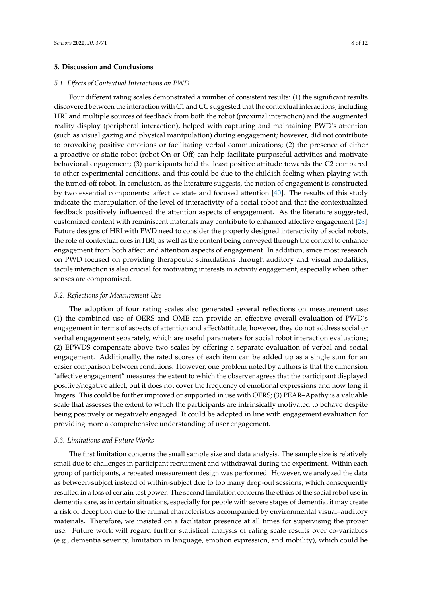#### **5. Discussion and Conclusions**

#### *5.1. E*ff*ects of Contextual Interactions on PWD*

Four different rating scales demonstrated a number of consistent results: (1) the significant results discovered between the interaction with C1 and CC suggested that the contextual interactions, including HRI and multiple sources of feedback from both the robot (proximal interaction) and the augmented reality display (peripheral interaction), helped with capturing and maintaining PWD's attention (such as visual gazing and physical manipulation) during engagement; however, did not contribute to provoking positive emotions or facilitating verbal communications; (2) the presence of either a proactive or static robot (robot On or Off) can help facilitate purposeful activities and motivate behavioral engagement; (3) participants held the least positive attitude towards the C2 compared to other experimental conditions, and this could be due to the childish feeling when playing with the turned-off robot. In conclusion, as the literature suggests, the notion of engagement is constructed by two essential components: affective state and focused attention [\[40\]](#page-11-11). The results of this study indicate the manipulation of the level of interactivity of a social robot and that the contextualized feedback positively influenced the attention aspects of engagement. As the literature suggested, customized content with reminiscent materials may contribute to enhanced affective engagement [\[28\]](#page-10-16). Future designs of HRI with PWD need to consider the properly designed interactivity of social robots, the role of contextual cues in HRI, as well as the content being conveyed through the context to enhance engagement from both affect and attention aspects of engagement. In addition, since most research on PWD focused on providing therapeutic stimulations through auditory and visual modalities, tactile interaction is also crucial for motivating interests in activity engagement, especially when other senses are compromised.

#### *5.2. Reflections for Measurement Use*

The adoption of four rating scales also generated several reflections on measurement use: (1) the combined use of OERS and OME can provide an effective overall evaluation of PWD's engagement in terms of aspects of attention and affect/attitude; however, they do not address social or verbal engagement separately, which are useful parameters for social robot interaction evaluations; (2) EPWDS compensate above two scales by offering a separate evaluation of verbal and social engagement. Additionally, the rated scores of each item can be added up as a single sum for an easier comparison between conditions. However, one problem noted by authors is that the dimension "affective engagement" measures the extent to which the observer agrees that the participant displayed positive/negative affect, but it does not cover the frequency of emotional expressions and how long it lingers. This could be further improved or supported in use with OERS; (3) PEAR–Apathy is a valuable scale that assesses the extent to which the participants are intrinsically motivated to behave despite being positively or negatively engaged. It could be adopted in line with engagement evaluation for providing more a comprehensive understanding of user engagement.

#### *5.3. Limitations and Future Works*

The first limitation concerns the small sample size and data analysis. The sample size is relatively small due to challenges in participant recruitment and withdrawal during the experiment. Within each group of participants, a repeated measurement design was performed. However, we analyzed the data as between-subject instead of within-subject due to too many drop-out sessions, which consequently resulted in a loss of certain test power. The second limitation concerns the ethics of the social robot use in dementia care, as in certain situations, especially for people with severe stages of dementia, it may create a risk of deception due to the animal characteristics accompanied by environmental visual–auditory materials. Therefore, we insisted on a facilitator presence at all times for supervising the proper use. Future work will regard further statistical analysis of rating scale results over co-variables (e.g., dementia severity, limitation in language, emotion expression, and mobility), which could be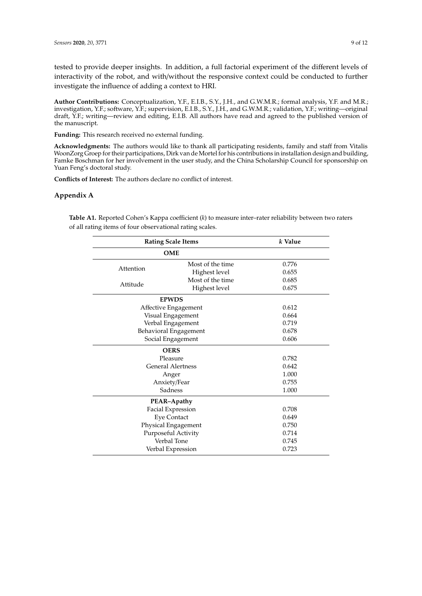tested to provide deeper insights. In addition, a full factorial experiment of the different levels of interactivity of the robot, and with/without the responsive context could be conducted to further investigate the influence of adding a context to HRI.

**Author Contributions:** Conceptualization, Y.F., E.I.B., S.Y., J.H., and G.W.M.R.; formal analysis, Y.F. and M.R.; investigation, Y.F.; software, Y.F.; supervision, E.I.B., S.Y., J.H., and G.W.M.R.; validation, Y.F.; writing—original draft, Y.F.; writing—review and editing, E.I.B. All authors have read and agreed to the published version of the manuscript.

**Funding:** This research received no external funding.

**Acknowledgments:** The authors would like to thank all participating residents, family and staff from Vitalis WoonZorg Groep for their participations, Dirk van de Mortel for his contributions in installation design and building, Famke Boschman for her involvement in the user study, and the China Scholarship Council for sponsorship on Yuan Feng's doctoral study.

**Conflicts of Interest:** The authors declare no conflict of interest.

# <span id="page-8-1"></span>**Appendix A**

<span id="page-8-0"></span>**Table A1.** Reported Cohen's Kappa coefficient (*k*) to measure inter–rater reliability between two raters of all rating items of four observational rating scales.

| <b>Rating Scale Items</b> | k Value                  |       |  |  |  |  |  |
|---------------------------|--------------------------|-------|--|--|--|--|--|
| <b>OME</b>                |                          |       |  |  |  |  |  |
|                           | Most of the time         | 0.776 |  |  |  |  |  |
| Attention                 | Highest level            | 0.655 |  |  |  |  |  |
| Attitude                  | Most of the time         | 0.685 |  |  |  |  |  |
|                           | Highest level            | 0.675 |  |  |  |  |  |
|                           | <b>EPWDS</b>             |       |  |  |  |  |  |
|                           | Affective Engagement     | 0.612 |  |  |  |  |  |
|                           | Visual Engagement        | 0.664 |  |  |  |  |  |
|                           | Verbal Engagement        | 0.719 |  |  |  |  |  |
|                           | Behavioral Engagement    | 0.678 |  |  |  |  |  |
| Social Engagement         | 0.606                    |       |  |  |  |  |  |
| <b>OERS</b>               |                          |       |  |  |  |  |  |
| Pleasure                  | 0.782                    |       |  |  |  |  |  |
|                           | <b>General Alertness</b> | 0.642 |  |  |  |  |  |
| Anger                     | 1.000                    |       |  |  |  |  |  |
| Anxiety/Fear              | 0.755                    |       |  |  |  |  |  |
| Sadness                   | 1.000                    |       |  |  |  |  |  |
| PEAR-Apathy               |                          |       |  |  |  |  |  |
|                           | Facial Expression        | 0.708 |  |  |  |  |  |
| <b>Eye Contact</b>        | 0.649                    |       |  |  |  |  |  |
| Physical Engagement       | 0.750                    |       |  |  |  |  |  |
|                           | Purposeful Activity      | 0.714 |  |  |  |  |  |
|                           | Verbal Tone              | 0.745 |  |  |  |  |  |
| Verbal Expression         | 0.723                    |       |  |  |  |  |  |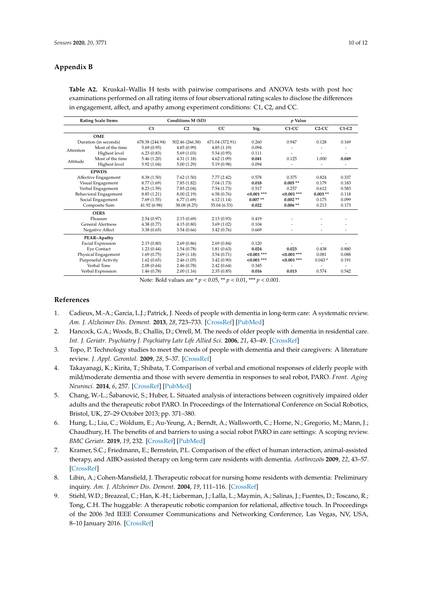# <span id="page-9-10"></span>**Appendix B**

| <b>Rating Scale Items</b> |                    | <b>Conditions M (SD)</b> |                 |                 | <i>p</i> Value |               |           |         |
|---------------------------|--------------------|--------------------------|-----------------|-----------------|----------------|---------------|-----------|---------|
|                           |                    | C1                       | C <sub>2</sub>  | CC              | Sig.           | C1-CC         | $C2-CC$   | $C1-C2$ |
| <b>OME</b>                |                    |                          |                 |                 |                |               |           |         |
| Duration (in seconds)     |                    | 678.38 (244.94)          | 502.46 (266.38) | 671.04 (372.91) | 0.260          | 0.947         | 0.128     | 0.169   |
| Attention                 | Most of the time   | 5.69(0.95)               | 4.85(0.99)      | 4.85(1.19)      | 0.094          |               |           |         |
|                           | Highest level      | 6.23(0.83)               | 5.69(1.03)      | 5.54 (0.95)     | 0.111          | ٠             |           |         |
| Attitude                  | Most of the time   | 5.46(1.20)               | 4.31(1.18)      | 4.62(1.09)      | 0.041          | 0.125         | 1.000     | 0.049   |
|                           | Highest level      | 5.92(1.04)               | 5.00(1.29)      | 5.19 (0.98)     | 0.094          |               |           |         |
|                           | <b>EPWDS</b>       |                          |                 |                 |                |               |           |         |
| Affective Engagement      |                    | 8.38(1.50)               | 7.62(1.50)      | 7.77(2.42)      | 0.578          | 0.375         | 0.824     | 0.337   |
| Visual Engagement         |                    | 8.77 (1.69)              | 7.85(1.82)      | 7.04 (1.73)     | 0.018          | $0.005**$     | 0.179     | 0.183   |
| Verbal Engagement         |                    | 8.23(1.59)               | 7.85(2.04)      | 7.54 (1.73)     | 0.517          | 0.257         | 0.612     | 0.583   |
| Behavioral Engagement     |                    | 8.85(1.21)               | 8.00 (2.19)     | 6.58(0.76)      | $< 0.001$ ***  | $< 0.001$ *** | $0.003**$ | 0.118   |
| Social Engagement         |                    | 7.69(1.55)               | 6.77(1.69)      | 6.12(1.14)      | $0.007**$      | $0.002**$     | 0.175     | 0.099   |
|                           | Composite Sum      | 41.92 (6.98)             | 38.08 (8.25)    | 35.04 (6.53)    | 0.022          | $0.006**$     | 0.213     | 0.173   |
| <b>OERS</b>               |                    |                          |                 |                 |                |               |           |         |
| Pleasure                  |                    | 2.54(0.97)               | 2.15(0.69)      | 2.15(0.93)      | 0.419          |               |           |         |
| <b>General Alertness</b>  |                    | 4.38(0.77)               | 4.15(0.80)      | 3.69(1.02)      | 0.104          |               |           |         |
| Negative Affect           |                    | 3.38(0.65)               | 3.54(0.66)      | 3.42 (0.76)     | 0.669          |               |           |         |
| PEAR-Apathy               |                    |                          |                 |                 |                |               |           |         |
| Facial Expression         |                    | 2.15(0.80)               | 2.69(0.86)      | 2.69(0.84)      | 0.120          |               |           |         |
|                           | <b>Eye Contact</b> | 1.23(0.44)               | 1.54(0.78)      | 1.81(0.63)      | 0.024          | 0.023         | 0.438     | 0.880   |
| Physical Engagement       |                    | 1.69(0.75)               | 2.69(1.18)      | 3.54(0.71)      | $0.001***$     | $< 0.001$ *** | 0.081     | 0.088   |
| Purposeful Activity       |                    | 1.62(0.65)               | 2.46(1.05)      | 3.42 (0.90)     | $< 0.001$ ***  | $< 0.001$ *** | $0.043*$  | 0.191   |
|                           | Verbal Tone        | 2.08(0.64)               | 2.46 (0.78)     | 2.42(0.64)      | 0.345          |               |           |         |
|                           | Verbal Expression  | 1.46(0.78)               | 2.00(1.16)      | 2.35(0.85)      | 0.016          | 0.013         | 0.574     | 0.542   |

<span id="page-9-9"></span>**Table A2.** Kruskal–Wallis H tests with pairwise comparisons and ANOVA tests with post hoc examinations performed on all rating items of four observational rating scales to disclose the differences in engagement, affect, and apathy among experiment conditions: C1, C2, and CC.

Note: Bold values are \* *p* < 0.05, \*\* *p* < 0.01, \*\*\* *p* < 0.001.

# **References**

- <span id="page-9-0"></span>1. Cadieux, M.-A.; Garcia, L.J.; Patrick, J. Needs of people with dementia in long-term care: A systematic review. *Am. J. Alzheimer Dis. Dement.* **2013**, *28*, 723–733. [\[CrossRef\]](http://dx.doi.org/10.1177/1533317513500840) [\[PubMed\]](http://www.ncbi.nlm.nih.gov/pubmed/24005852)
- <span id="page-9-1"></span>2. Hancock, G.A.; Woods, B.; Challis, D.; Orrell, M. The needs of older people with dementia in residential care. *Int. J. Geriatr. Psychiatry J. Psychiatry Late Life Allied Sci.* **2006**, *21*, 43–49. [\[CrossRef\]](http://dx.doi.org/10.1002/gps.1421)
- <span id="page-9-2"></span>3. Topo, P. Technology studies to meet the needs of people with dementia and their caregivers: A literature review. *J. Appl. Gerontol.* **2009**, *28*, 5–37. [\[CrossRef\]](http://dx.doi.org/10.1177/0733464808324019)
- <span id="page-9-3"></span>4. Takayanagi, K.; Kirita, T.; Shibata, T. Comparison of verbal and emotional responses of elderly people with mild/moderate dementia and those with severe dementia in responses to seal robot, PARO. *Front. Aging Neurosci.* **2014**, *6*, 257. [\[CrossRef\]](http://dx.doi.org/10.3389/fnagi.2014.00257) [\[PubMed\]](http://www.ncbi.nlm.nih.gov/pubmed/25309434)
- <span id="page-9-8"></span>5. Chang, W.-L.; Šabanović, S.; Huber, L. Situated analysis of interactions between cognitively impaired older adults and the therapeutic robot PARO. In Proceedings of the International Conference on Social Robotics, Bristol, UK, 27–29 October 2013; pp. 371–380.
- <span id="page-9-4"></span>6. Hung, L.; Liu, C.; Woldum, E.; Au-Yeung, A.; Berndt, A.; Wallsworth, C.; Horne, N.; Gregorio, M.; Mann, J.; Chaudhury, H. The benefits of and barriers to using a social robot PARO in care settings: A scoping review. *BMC Geriatr.* **2019**, *19*, 232. [\[CrossRef\]](http://dx.doi.org/10.1186/s12877-019-1244-6) [\[PubMed\]](http://www.ncbi.nlm.nih.gov/pubmed/31443636)
- <span id="page-9-5"></span>7. Kramer, S.C.; Friedmann, E.; Bernstein, P.L. Comparison of the effect of human interaction, animal-assisted therapy, and AIBO-assisted therapy on long-term care residents with dementia. *Anthrozoös* **2009**, *22*, 43–57. [\[CrossRef\]](http://dx.doi.org/10.2752/175303708X390464)
- <span id="page-9-6"></span>8. Libin, A.; Cohen-Mansfield, J. Therapeutic robocat for nursing home residents with dementia: Preliminary inquiry. *Am. J. Alzheimer Dis. Dement.* **2004**, *19*, 111–116. [\[CrossRef\]](http://dx.doi.org/10.1177/153331750401900209)
- <span id="page-9-7"></span>9. Stiehl, W.D.; Breazeal, C.; Han, K.-H.; Lieberman, J.; Lalla, L.; Maymin, A.; Salinas, J.; Fuentes, D.; Toscano, R.; Tong, C.H. The huggable: A therapeutic robotic companion for relational, affective touch. In Proceedings of the 2006 3rd IEEE Consumer Communications and Networking Conference, Las Vegas, NV, USA, 8–10 January 2016. [\[CrossRef\]](http://dx.doi.org/10.1145/1179133.1179149)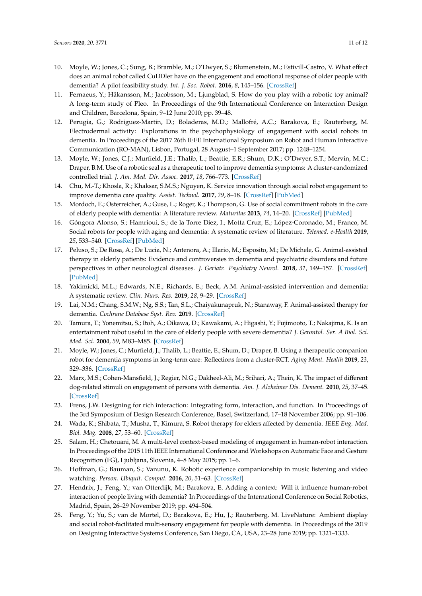- <span id="page-10-0"></span>10. Moyle, W.; Jones, C.; Sung, B.; Bramble, M.; O'Dwyer, S.; Blumenstein, M.; Estivill-Castro, V. What effect does an animal robot called CuDDler have on the engagement and emotional response of older people with dementia? A pilot feasibility study. *Int. J. Soc. Robot.* **2016**, *8*, 145–156. [\[CrossRef\]](http://dx.doi.org/10.1007/s12369-015-0326-7)
- <span id="page-10-1"></span>11. Fernaeus, Y.; Håkansson, M.; Jacobsson, M.; Ljungblad, S. How do you play with a robotic toy animal? A long-term study of Pleo. In Proceedings of the 9th International Conference on Interaction Design and Children, Barcelona, Spain, 9–12 June 2010; pp. 39–48.
- 12. Perugia, G.; Rodríguez-Martín, D.; Boladeras, M.D.; Mallofré, A.C.; Barakova, E.; Rauterberg, M. Electrodermal activity: Explorations in the psychophysiology of engagement with social robots in dementia. In Proceedings of the 2017 26th IEEE International Symposium on Robot and Human Interactive Communication (RO-MAN), Lisbon, Portugal, 28 August–1 September 2017; pp. 1248–1254.
- <span id="page-10-2"></span>13. Moyle, W.; Jones, C.J.; Murfield, J.E.; Thalib, L.; Beattie, E.R.; Shum, D.K.; O'Dwyer, S.T.; Mervin, M.C.; Draper, B.M. Use of a robotic seal as a therapeutic tool to improve dementia symptoms: A cluster-randomized controlled trial. *J. Am. Med. Dir. Assoc.* **2017**, *18*, 766–773. [\[CrossRef\]](http://dx.doi.org/10.1016/j.jamda.2017.03.018)
- <span id="page-10-3"></span>14. Chu, M.-T.; Khosla, R.; Khaksar, S.M.S.; Nguyen, K. Service innovation through social robot engagement to improve dementia care quality. *Assist. Technol.* **2017**, *29*, 8–18. [\[CrossRef\]](http://dx.doi.org/10.1080/10400435.2016.1171807) [\[PubMed\]](http://www.ncbi.nlm.nih.gov/pubmed/27064692)
- <span id="page-10-4"></span>15. Mordoch, E.; Osterreicher, A.; Guse, L.; Roger, K.; Thompson, G. Use of social commitment robots in the care of elderly people with dementia: A literature review. *Maturitas* **2013**, *74*, 14–20. [\[CrossRef\]](http://dx.doi.org/10.1016/j.maturitas.2012.10.015) [\[PubMed\]](http://www.ncbi.nlm.nih.gov/pubmed/23177981)
- <span id="page-10-5"></span>16. Góngora Alonso, S.; Hamrioui, S.; de la Torre Díez, I.; Motta Cruz, E.; López-Coronado, M.; Franco, M. Social robots for people with aging and dementia: A systematic review of literature. *Telemed. e-Health* **2019**, *25*, 533–540. [\[CrossRef\]](http://dx.doi.org/10.1089/tmj.2018.0051) [\[PubMed\]](http://www.ncbi.nlm.nih.gov/pubmed/30136901)
- <span id="page-10-6"></span>17. Peluso, S.; De Rosa, A.; De Lucia, N.; Antenora, A.; Illario, M.; Esposito, M.; De Michele, G. Animal-assisted therapy in elderly patients: Evidence and controversies in dementia and psychiatric disorders and future perspectives in other neurological diseases. *J. Geriatr. Psychiatry Neurol.* **2018**, *31*, 149–157. [\[CrossRef\]](http://dx.doi.org/10.1177/0891988718774634) [\[PubMed\]](http://www.ncbi.nlm.nih.gov/pubmed/29764282)
- 18. Yakimicki, M.L.; Edwards, N.E.; Richards, E.; Beck, A.M. Animal-assisted intervention and dementia: A systematic review. *Clin. Nurs. Res.* **2019**, *28*, 9–29. [\[CrossRef\]](http://dx.doi.org/10.1177/1054773818756987)
- <span id="page-10-7"></span>19. Lai, N.M.; Chang, S.M.W.; Ng, S.S.; Tan, S.L.; Chaiyakunapruk, N.; Stanaway, F. Animal-assisted therapy for dementia. *Cochrane Database Syst. Rev.* **2019**. [\[CrossRef\]](http://dx.doi.org/10.1002/14651858.CD013243.pub2)
- <span id="page-10-8"></span>20. Tamura, T.; Yonemitsu, S.; Itoh, A.; Oikawa, D.; Kawakami, A.; Higashi, Y.; Fujimooto, T.; Nakajima, K. Is an entertainment robot useful in the care of elderly people with severe dementia? *J. Gerontol. Ser. A Biol. Sci. Med. Sci.* **2004**, *59*, M83–M85. [\[CrossRef\]](http://dx.doi.org/10.1093/gerona/59.1.M83)
- <span id="page-10-9"></span>21. Moyle, W.; Jones, C.; Murfield, J.; Thalib, L.; Beattie, E.; Shum, D.; Draper, B. Using a therapeutic companion robot for dementia symptoms in long-term care: Reflections from a cluster-RCT. *Aging Ment. Health* **2019**, *23*, 329–336. [\[CrossRef\]](http://dx.doi.org/10.1080/13607863.2017.1421617)
- <span id="page-10-10"></span>22. Marx, M.S.; Cohen-Mansfield, J.; Regier, N.G.; Dakheel-Ali, M.; Srihari, A.; Thein, K. The impact of different dog-related stimuli on engagement of persons with dementia. *Am. J. Alzheimer Dis. Dement.* **2010**, *25*, 37–45. [\[CrossRef\]](http://dx.doi.org/10.1177/1533317508326976)
- <span id="page-10-11"></span>23. Frens, J.W. Designing for rich interaction: Integrating form, interaction, and function. In Proceedings of the 3rd Symposium of Design Research Conference, Basel, Switzerland, 17–18 November 2006; pp. 91–106.
- <span id="page-10-12"></span>24. Wada, K.; Shibata, T.; Musha, T.; Kimura, S. Robot therapy for elders affected by dementia. *IEEE Eng. Med. Biol. Mag.* **2008**, *27*, 53–60. [\[CrossRef\]](http://dx.doi.org/10.1109/MEMB.2008.919496)
- <span id="page-10-13"></span>25. Salam, H.; Chetouani, M. A multi-level context-based modeling of engagement in human-robot interaction. In Proceedings of the 2015 11th IEEE International Conference and Workshops on Automatic Face and Gesture Recognition (FG), Ljubljana, Slovenia, 4–8 May 2015; pp. 1–6.
- <span id="page-10-14"></span>26. Hoffman, G.; Bauman, S.; Vanunu, K. Robotic experience companionship in music listening and video watching. *Person. Ubiquit. Comput.* **2016**, *20*, 51–63. [\[CrossRef\]](http://dx.doi.org/10.1007/s00779-015-0897-1)
- <span id="page-10-15"></span>27. Hendrix, J.; Feng, Y.; van Otterdijk, M.; Barakova, E. Adding a context: Will it influence human-robot interaction of people living with dementia? In Proceedings of the International Conference on Social Robotics, Madrid, Spain, 26–29 November 2019; pp. 494–504.
- <span id="page-10-16"></span>28. Feng, Y.; Yu, S.; van de Mortel, D.; Barakova, E.; Hu, J.; Rauterberg, M. LiveNature: Ambient display and social robot-facilitated multi-sensory engagement for people with dementia. In Proceedings of the 2019 on Designing Interactive Systems Conference, San Diego, CA, USA, 23–28 June 2019; pp. 1321–1333.